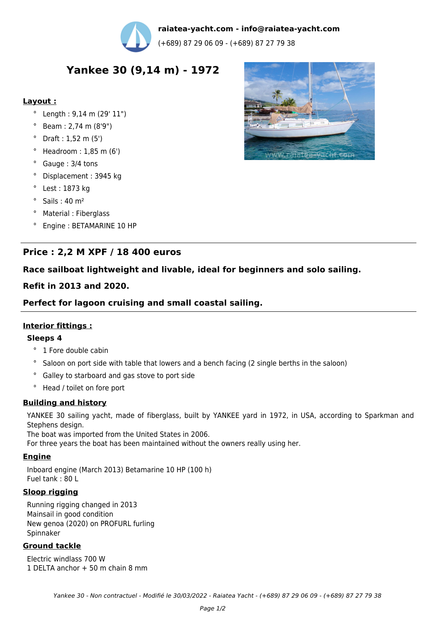

**raiatea-yacht.com - info@raiatea-yacht.com**

(+689) 87 29 06 09 - (+689) 87 27 79 38

# **Yankee 30 (9,14 m) - 1972**

## **Layout :**

- ° Length : 9,14 m (29' 11")
- ° Beam : 2,74 m (8'9")
- ° Draft : 1,52 m (5')
- $^{\circ}$  Headroom : 1,85 m (6')
- ° Gauge : 3/4 tons
- ° Displacement : 3945 kg
- ° Lest : 1873 kg
- ° Sails : 40 m²
- ° Material : Fiberglass
- ° Engine : BETAMARINE 10 HP

## **Price : 2,2 M XPF / 18 400 euros**

## **Race sailboat lightweight and livable, ideal for beginners and solo sailing.**

## **Refit in 2013 and 2020.**

## **Perfect for lagoon cruising and small coastal sailing.**

## **Interior fittings :**

#### **Sleeps 4**

- ° 1 Fore double cabin
- ° Saloon on port side with table that lowers and a bench facing (2 single berths in the saloon)
- ° Galley to starboard and gas stove to port side
- ° Head / toilet on fore port

#### **Building and history**

YANKEE 30 sailing yacht, made of fiberglass, built by YANKEE yard in 1972, in USA, according to Sparkman and Stephens design.

The boat was imported from the United States in 2006.

For three years the boat has been maintained without the owners really using her.

#### **Engine**

Inboard engine (March 2013) Betamarine 10 HP (100 h) Fuel tank : 80 L

#### **Sloop rigging**

Running rigging changed in 2013 Mainsail in good condition New genoa (2020) on PROFURL furling Spinnaker

#### **Ground tackle**

Electric windlass 700 W 1 DELTA anchor + 50 m chain 8 mm